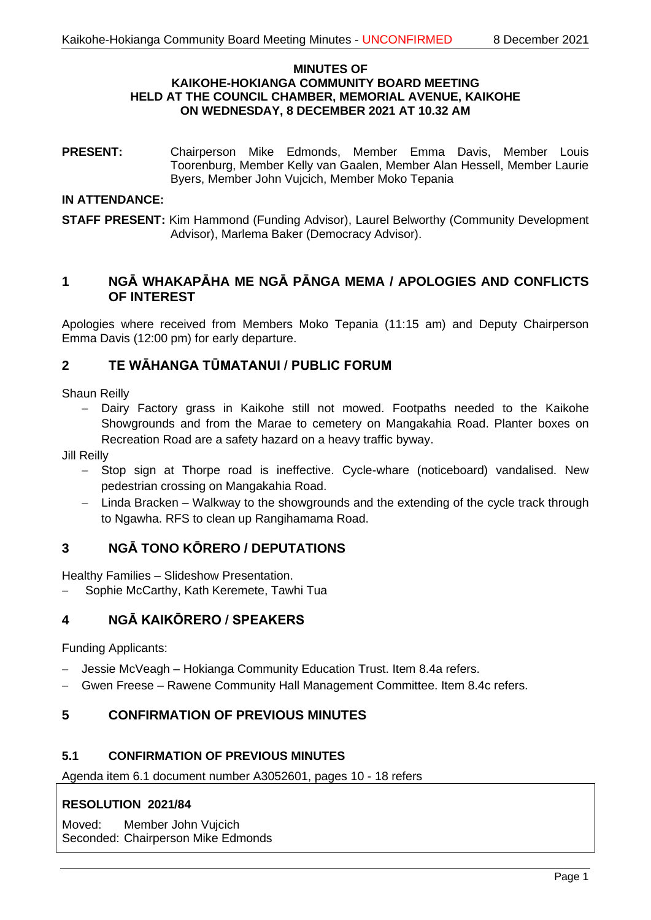#### **MINUTES OF KAIKOHE-HOKIANGA COMMUNITY BOARD MEETING HELD AT THE COUNCIL CHAMBER, MEMORIAL AVENUE, KAIKOHE ON WEDNESDAY, 8 DECEMBER 2021 AT 10.32 AM**

**PRESENT:** Chairperson Mike Edmonds, Member Emma Davis, Member Louis Toorenburg, Member Kelly van Gaalen, Member Alan Hessell, Member Laurie Byers, Member John Vujcich, Member Moko Tepania

### **IN ATTENDANCE:**

**STAFF PRESENT:** Kim Hammond (Funding Advisor), Laurel Belworthy (Community Development Advisor), Marlema Baker (Democracy Advisor).

# **1 NGĀ WHAKAPĀHA ME NGĀ PĀNGA MEMA / APOLOGIES AND CONFLICTS OF INTEREST**

Apologies where received from Members Moko Tepania (11:15 am) and Deputy Chairperson Emma Davis (12:00 pm) for early departure.

# **2 TE WĀHANGA TŪMATANUI / PUBLIC FORUM**

Shaun Reilly

− Dairy Factory grass in Kaikohe still not mowed. Footpaths needed to the Kaikohe Showgrounds and from the Marae to cemetery on Mangakahia Road. Planter boxes on Recreation Road are a safety hazard on a heavy traffic byway.

Jill Reilly

- − Stop sign at Thorpe road is ineffective. Cycle-whare (noticeboard) vandalised. New pedestrian crossing on Mangakahia Road.
- − Linda Bracken Walkway to the showgrounds and the extending of the cycle track through to Ngawha. RFS to clean up Rangihamama Road.

# **3 NGĀ TONO KŌRERO / DEPUTATIONS**

Healthy Families – Slideshow Presentation.

− Sophie McCarthy, Kath Keremete, Tawhi Tua

# **4 NGĀ KAIKŌRERO / SPEAKERS**

Funding Applicants:

- − Jessie McVeagh Hokianga Community Education Trust. Item 8.4a refers.
- − Gwen Freese Rawene Community Hall Management Committee. Item 8.4c refers.

# **5 CONFIRMATION OF PREVIOUS MINUTES**

# **5.1 CONFIRMATION OF PREVIOUS MINUTES**

Agenda item 6.1 document number A3052601, pages 10 - 18 refers

### **RESOLUTION 2021/84**

Moved: Member John Vujcich Seconded: Chairperson Mike Edmonds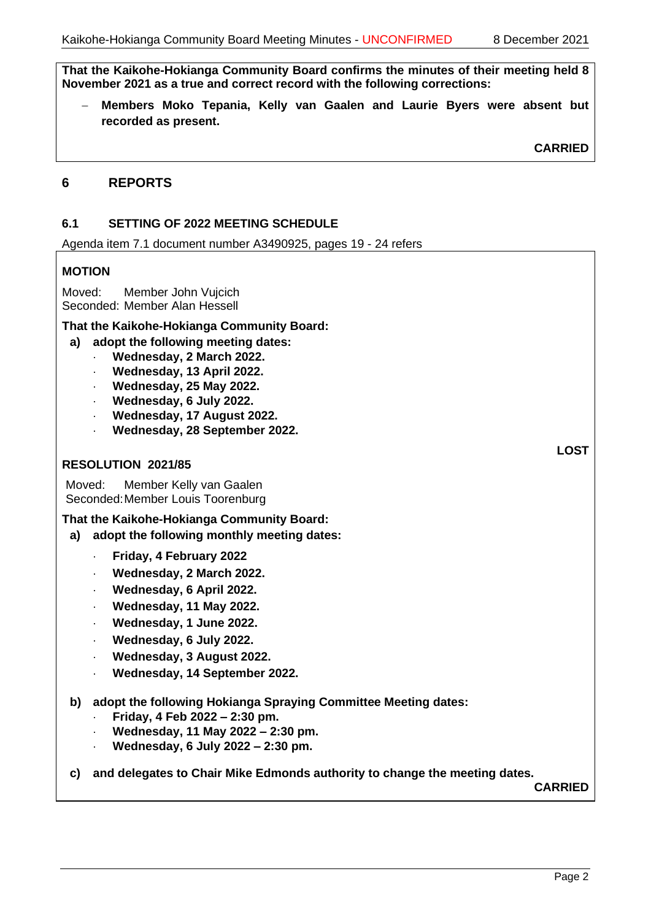**That the Kaikohe-Hokianga Community Board confirms the minutes of their meeting held 8 November 2021 as a true and correct record with the following corrections:**

− **Members Moko Tepania, Kelly van Gaalen and Laurie Byers were absent but recorded as present.**

**CARRIED**

**LOST**

### **6 REPORTS**

#### **6.1 SETTING OF 2022 MEETING SCHEDULE**

Agenda item 7.1 document number A3490925, pages 19 - 24 refers

#### **MOTION**

Moved: Member John Vujcich Seconded: Member Alan Hessell

#### **That the Kaikohe-Hokianga Community Board:**

#### **a) adopt the following meeting dates:**

- **Wednesday, 2 March 2022.**
	- **Wednesday, 13 April 2022.**
	- **Wednesday, 25 May 2022.**
	- **Wednesday, 6 July 2022.**
	- **Wednesday, 17 August 2022.**
	- **Wednesday, 28 September 2022.**

#### **RESOLUTION 2021/85**

Moved: Member Kelly van Gaalen Seconded:Member Louis Toorenburg

#### **That the Kaikohe-Hokianga Community Board:**

- **a) adopt the following monthly meeting dates:**
	- **Friday, 4 February 2022**
	- **Wednesday, 2 March 2022.**
	- **Wednesday, 6 April 2022.**
	- **Wednesday, 11 May 2022.**
	- **Wednesday, 1 June 2022.**
	- **Wednesday, 6 July 2022.**
	- **Wednesday, 3 August 2022.**
	- **Wednesday, 14 September 2022.**

### **b) adopt the following Hokianga Spraying Committee Meeting dates:**

- **Friday, 4 Feb 2022 – 2:30 pm.**
- **Wednesday, 11 May 2022 – 2:30 pm.**
- **Wednesday, 6 July 2022 – 2:30 pm.**

#### **c) and delegates to Chair Mike Edmonds authority to change the meeting dates.**

**CARRIED**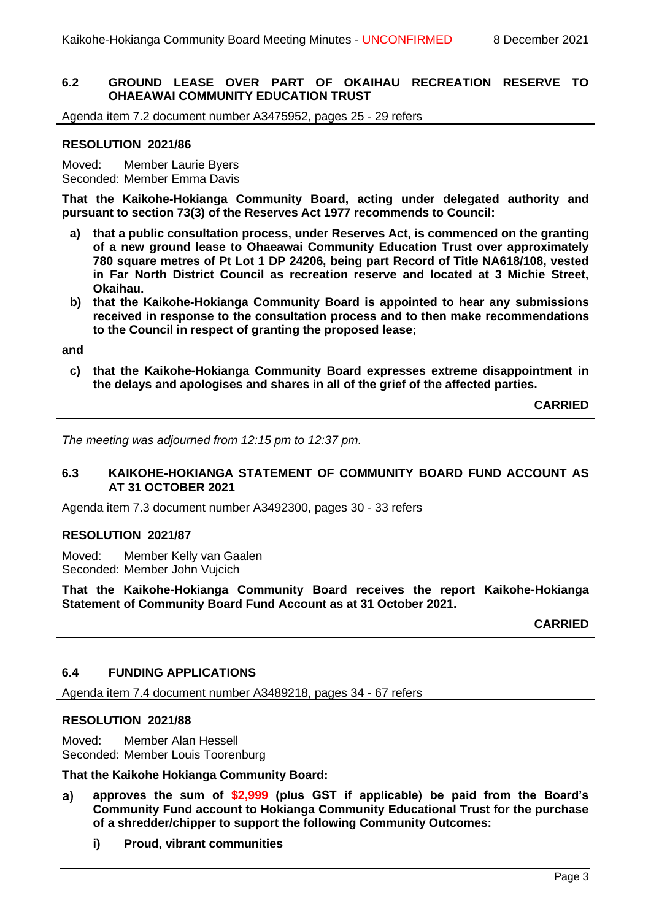### **6.2 GROUND LEASE OVER PART OF OKAIHAU RECREATION RESERVE TO OHAEAWAI COMMUNITY EDUCATION TRUST**

Agenda item 7.2 document number A3475952, pages 25 - 29 refers

# **RESOLUTION 2021/86**

Moved: Member Laurie Byers Seconded: Member Emma Davis

**That the Kaikohe-Hokianga Community Board, acting under delegated authority and pursuant to section 73(3) of the Reserves Act 1977 recommends to Council:**

- **a) that a public consultation process, under Reserves Act, is commenced on the granting of a new ground lease to Ohaeawai Community Education Trust over approximately 780 square metres of Pt Lot 1 DP 24206, being part Record of Title NA618/108, vested in Far North District Council as recreation reserve and located at 3 Michie Street, Okaihau.**
- **b) that the Kaikohe-Hokianga Community Board is appointed to hear any submissions received in response to the consultation process and to then make recommendations to the Council in respect of granting the proposed lease;**

**and**

**c) that the Kaikohe-Hokianga Community Board expresses extreme disappointment in the delays and apologises and shares in all of the grief of the affected parties.**

**CARRIED**

*The meeting was adjourned from 12:15 pm to 12:37 pm.*

#### **6.3 KAIKOHE-HOKIANGA STATEMENT OF COMMUNITY BOARD FUND ACCOUNT AS AT 31 OCTOBER 2021**

Agenda item 7.3 document number A3492300, pages 30 - 33 refers

### **RESOLUTION 2021/87**

Moved: Member Kelly van Gaalen Seconded: Member John Vujcich

**That the Kaikohe-Hokianga Community Board receives the report Kaikohe-Hokianga Statement of Community Board Fund Account as at 31 October 2021.**

**CARRIED**

#### **6.4 FUNDING APPLICATIONS**

Agenda item 7.4 document number A3489218, pages 34 - 67 refers

#### **RESOLUTION 2021/88**

Moved: Member Alan Hessell Seconded: Member Louis Toorenburg

**That the Kaikohe Hokianga Community Board:**

- **approves the sum of \$2,999 (plus GST if applicable) be paid from the Board's**   $a)$ **Community Fund account to Hokianga Community Educational Trust for the purchase of a shredder/chipper to support the following Community Outcomes:**
	- **i) Proud, vibrant communities**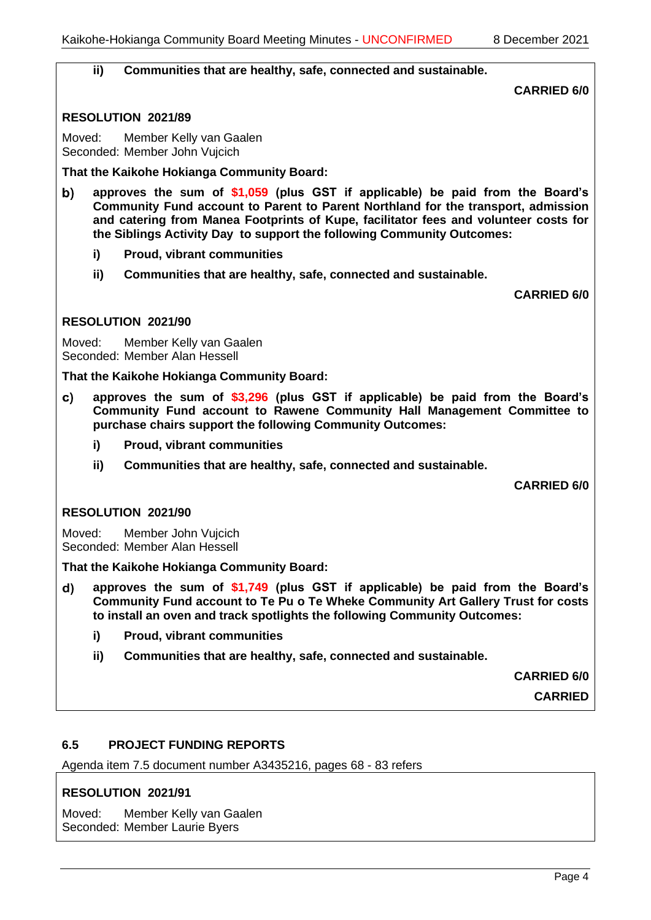#### **ii) Communities that are healthy, safe, connected and sustainable.**

**CARRIED 6/0**

#### **RESOLUTION 2021/89**

Moved: Member Kelly van Gaalen Seconded: Member John Vujcich

**That the Kaikohe Hokianga Community Board:**

- **approves the sum of \$1,059 (plus GST if applicable) be paid from the Board's**  b) **Community Fund account to Parent to Parent Northland for the transport, admission and catering from Manea Footprints of Kupe, facilitator fees and volunteer costs for the Siblings Activity Day to support the following Community Outcomes:**
	- **i) Proud, vibrant communities**
	- **ii) Communities that are healthy, safe, connected and sustainable.**

**CARRIED 6/0**

#### **RESOLUTION 2021/90**

Moved: Member Kelly van Gaalen Seconded: Member Alan Hessell

**That the Kaikohe Hokianga Community Board:**

- **approves the sum of \$3,296 (plus GST if applicable) be paid from the Board's**  C) **Community Fund account to Rawene Community Hall Management Committee to purchase chairs support the following Community Outcomes:**
	- **i) Proud, vibrant communities**
	- **ii) Communities that are healthy, safe, connected and sustainable.**

**CARRIED 6/0**

### **RESOLUTION 2021/90**

Moved: Member John Vujcich Seconded: Member Alan Hessell

#### **That the Kaikohe Hokianga Community Board:**

- **approves the sum of \$1,749 (plus GST if applicable) be paid from the Board's**   $\mathsf{d}$ **Community Fund account to Te Pu o Te Wheke Community Art Gallery Trust for costs to install an oven and track spotlights the following Community Outcomes:**
	- **i) Proud, vibrant communities**
	- **ii) Communities that are healthy, safe, connected and sustainable.**

**CARRIED 6/0**

**CARRIED**

### **6.5 PROJECT FUNDING REPORTS**

Agenda item 7.5 document number A3435216, pages 68 - 83 refers

### **RESOLUTION 2021/91**

Moved: Member Kelly van Gaalen Seconded: Member Laurie Byers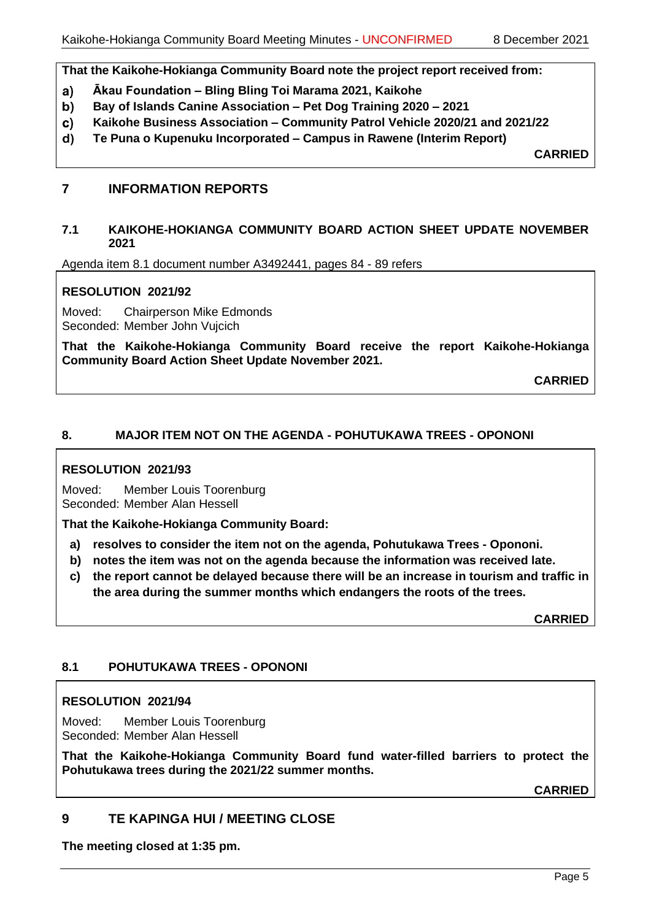**That the Kaikohe-Hokianga Community Board note the project report received from:**

- $a)$ **Ākau Foundation – Bling Bling Toi Marama 2021, Kaikohe**
- **Bay of Islands Canine Association – Pet Dog Training 2020 – 2021** b)
- **Kaikohe Business Association – Community Patrol Vehicle 2020/21 and 2021/22** C)
- $\mathbf{d}$ **Te Puna o Kupenuku Incorporated – Campus in Rawene (Interim Report)**

**CARRIED**

# **7 INFORMATION REPORTS**

#### **7.1 KAIKOHE-HOKIANGA COMMUNITY BOARD ACTION SHEET UPDATE NOVEMBER 2021**

Agenda item 8.1 document number A3492441, pages 84 - 89 refers

# **RESOLUTION 2021/92**

Moved: Chairperson Mike Edmonds Seconded: Member John Vujcich

**That the Kaikohe-Hokianga Community Board receive the report Kaikohe-Hokianga Community Board Action Sheet Update November 2021.**

**CARRIED**

# **8. MAJOR ITEM NOT ON THE AGENDA - POHUTUKAWA TREES - OPONONI**

### **RESOLUTION 2021/93**

Moved: Member Louis Toorenburg Seconded: Member Alan Hessell

**That the Kaikohe-Hokianga Community Board:**

- **a) resolves to consider the item not on the agenda, Pohutukawa Trees - Opononi.**
- **b) notes the item was not on the agenda because the information was received late.**
- **c) the report cannot be delayed because there will be an increase in tourism and traffic in the area during the summer months which endangers the roots of the trees.**

**CARRIED**

### **8.1 POHUTUKAWA TREES - OPONONI**

### **RESOLUTION 2021/94**

Moved: Member Louis Toorenburg Seconded: Member Alan Hessell

**That the Kaikohe-Hokianga Community Board fund water-filled barriers to protect the Pohutukawa trees during the 2021/22 summer months.**

**CARRIED**

# **9 TE KAPINGA HUI / MEETING CLOSE**

**The meeting closed at 1:35 pm.**